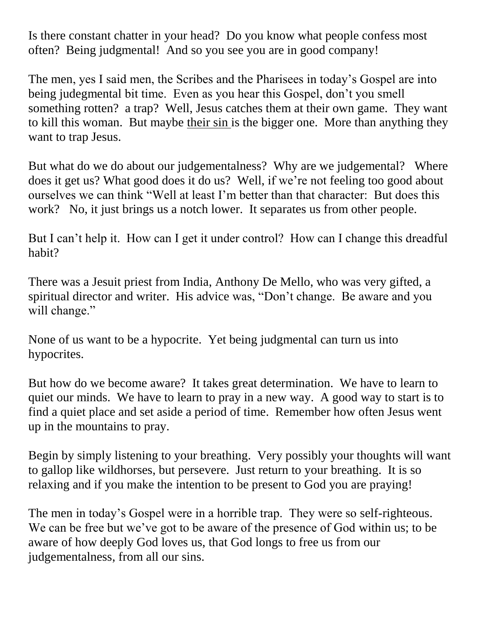Is there constant chatter in your head? Do you know what people confess most often? Being judgmental! And so you see you are in good company!

The men, yes I said men, the Scribes and the Pharisees in today's Gospel are into being judegmental bit time. Even as you hear this Gospel, don't you smell something rotten? a trap? Well, Jesus catches them at their own game. They want to kill this woman. But maybe their sin is the bigger one. More than anything they want to trap Jesus.

But what do we do about our judgementalness? Why are we judgemental? Where does it get us? What good does it do us? Well, if we're not feeling too good about ourselves we can think "Well at least I'm better than that character: But does this work? No, it just brings us a notch lower. It separates us from other people.

But I can't help it. How can I get it under control? How can I change this dreadful habit?

There was a Jesuit priest from India, Anthony De Mello, who was very gifted, a spiritual director and writer. His advice was, "Don't change. Be aware and you will change."

None of us want to be a hypocrite. Yet being judgmental can turn us into hypocrites.

But how do we become aware? It takes great determination. We have to learn to quiet our minds. We have to learn to pray in a new way. A good way to start is to find a quiet place and set aside a period of time. Remember how often Jesus went up in the mountains to pray.

Begin by simply listening to your breathing. Very possibly your thoughts will want to gallop like wildhorses, but persevere. Just return to your breathing. It is so relaxing and if you make the intention to be present to God you are praying!

The men in today's Gospel were in a horrible trap. They were so self-righteous. We can be free but we've got to be aware of the presence of God within us; to be aware of how deeply God loves us, that God longs to free us from our judgementalness, from all our sins.